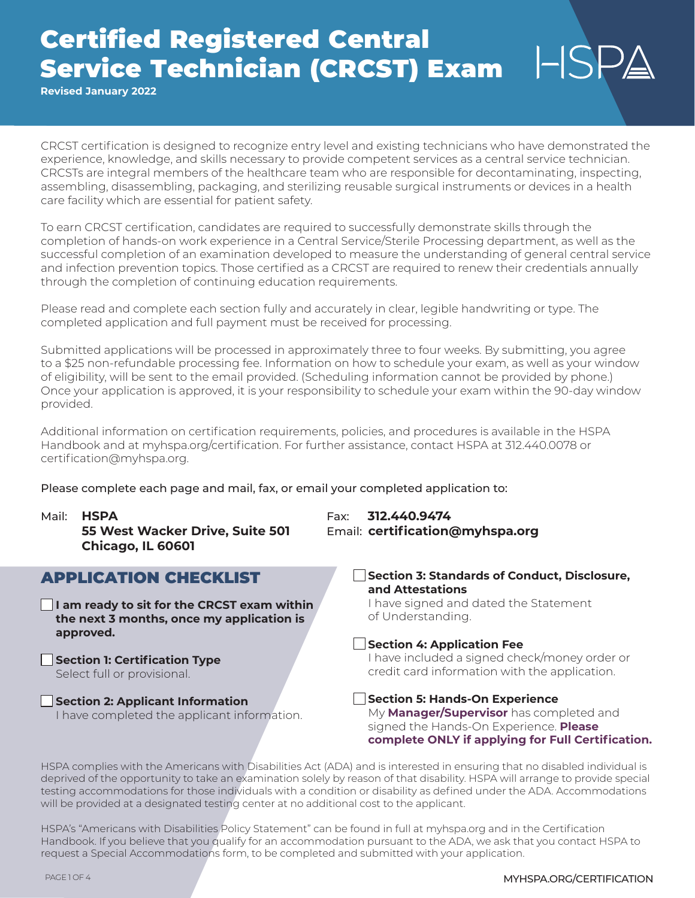# Certified Registered Central Service Technician (CRCST) Exam

**Revised January 2022**

CRCST certification is designed to recognize entry level and existing technicians who have demonstrated the experience, knowledge, and skills necessary to provide competent services as a central service technician. CRCSTs are integral members of the healthcare team who are responsible for decontaminating, inspecting, assembling, disassembling, packaging, and sterilizing reusable surgical instruments or devices in a health care facility which are essential for patient safety.

To earn CRCST certification, candidates are required to successfully demonstrate skills through the completion of hands-on work experience in a Central Service/Sterile Processing department, as well as the successful completion of an examination developed to measure the understanding of general central service and infection prevention topics. Those certified as a CRCST are required to renew their credentials annually through the completion of continuing education requirements.

Please read and complete each section fully and accurately in clear, legible handwriting or type. The completed application and full payment must be received for processing.

Submitted applications will be processed in approximately three to four weeks. By submitting, you agree to a \$25 non-refundable processing fee. Information on how to schedule your exam, as well as your window of eligibility, will be sent to the email provided. (Scheduling information cannot be provided by phone.) Once your application is approved, it is your responsibility to schedule your exam within the 90-day window provided.

Additional information on certification requirements, policies, and procedures is available in the HSPA Handbook and at myhspa.org/certification. For further assistance, contact HSPA at 312.440.0078 or certification@myhspa.org.

Please complete each page and mail, fax, or email your completed application to:

Mail: **HSPA** Fax: **312.440.9474**

| 55 West Wacker Drive, Suite 501<br>Chicago, IL 60601                                                         | Email: certification@myhspa.org                                                                                                               |  |  |  |
|--------------------------------------------------------------------------------------------------------------|-----------------------------------------------------------------------------------------------------------------------------------------------|--|--|--|
| <b>APPLICATION CHECKLIST</b>                                                                                 | <b>Section 3: Standards of Conduct, Disclosure,</b><br>and Attestations                                                                       |  |  |  |
| $\Box$ I am ready to sit for the CRCST exam within<br>the next 3 months, once my application is<br>approved. | I have signed and dated the Statement<br>of Understanding.                                                                                    |  |  |  |
|                                                                                                              | <b>Section 4: Application Fee</b>                                                                                                             |  |  |  |
| Section 1: Certification Type<br>Select full or provisional.                                                 | I have included a signed check/money order or<br>credit card information with the application.                                                |  |  |  |
| Section 2: Applicant Information                                                                             | <b>Section 5: Hands-On Experience</b>                                                                                                         |  |  |  |
| I have completed the applicant information.                                                                  | My <b>Manager/Supervisor</b> has completed and<br>signed the Hands-On Experience. Please<br>complete ONLY if applying for Full Certification. |  |  |  |

HSPA complies with the Americans with Disabilities Act (ADA) and is interested in ensuring that no disabled individual is deprived of the opportunity to take an examination solely by reason of that disability. HSPA will arrange to provide special testing accommodations for those individuals with a condition or disability as defined under the ADA. Accommodations will be provided at a designated testing center at no additional cost to the applicant.

HSPA's "Americans with Disabilities Policy Statement" can be found in full at myhspa.org and in the Certification Handbook. If you believe that you qualify for an accommodation pursuant to the ADA, we ask that you contact HSPA to request a Special Accommodations form, to be completed and submitted with your application.

 $HSP\triangle$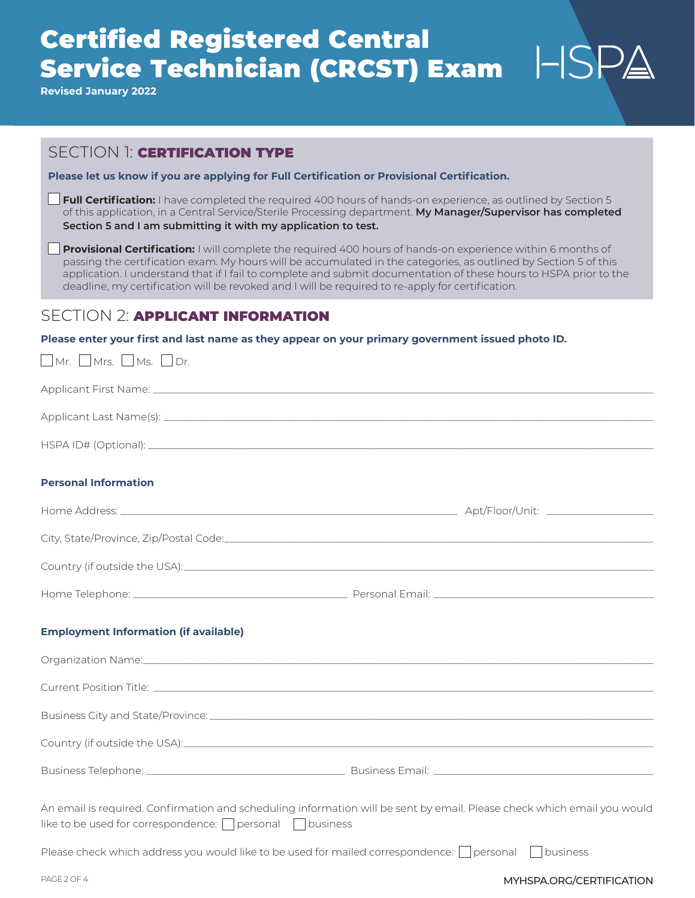# Certified Registered Central Service Technician (CRCST) Exam

**Revised January 2022**

Mr. Nrs. Nrs. Dr.

# SECTION 1<sup>:</sup> CERTIFICATION TYPE

**Please let us know if you are applying for Full Certification or Provisional Certification.**

**Full Certification:** I have completed the required 400 hours of hands-on experience, as outlined by Section 5 of this application, in a Central Service/Sterile Processing department. **My Manager/Supervisor has completed Section 5 and I am submitting it with my application to test.**

**Provisional Certification:** I will complete the required 400 hours of hands-on experience within 6 months of passing the certification exam. My hours will be accumulated in the categories, as outlined by Section 5 of this application. I understand that if I fail to complete and submit documentation of these hours to HSPA prior to the deadline, my certification will be revoked and I will be required to re-apply for certification.

## SECTION 2: **APPLICANT INFORMATION**

**Please enter your first and last name as they appear on your primary government issued photo ID.**

| ▁▁▏▎▘▏▎. ▁▁▏▎▘▏▎つ. ▁▁▏▎▘▎つ. ▁▁▁▎心▎.                                                                                                                                                  |  |
|--------------------------------------------------------------------------------------------------------------------------------------------------------------------------------------|--|
|                                                                                                                                                                                      |  |
|                                                                                                                                                                                      |  |
|                                                                                                                                                                                      |  |
| <b>Personal Information</b>                                                                                                                                                          |  |
|                                                                                                                                                                                      |  |
|                                                                                                                                                                                      |  |
|                                                                                                                                                                                      |  |
|                                                                                                                                                                                      |  |
| <b>Employment Information (if available)</b>                                                                                                                                         |  |
|                                                                                                                                                                                      |  |
| Current Position Title: 2000 Current Position Title: 2000 Current Position Position Position Position Title:                                                                         |  |
|                                                                                                                                                                                      |  |
|                                                                                                                                                                                      |  |
|                                                                                                                                                                                      |  |
| An email is required. Confirmation and scheduling information will be sent by email. Please check which email you would<br>like to be used for correspondence: □ personal □ business |  |
| Please check which address you would like to be used for mailed correspondence: $\bigcap$ personal $\bigcap$ business                                                                |  |

### PAGE 2 OF 4 **MYHSPA.ORG/CERTIFICATION**

 $HSPA$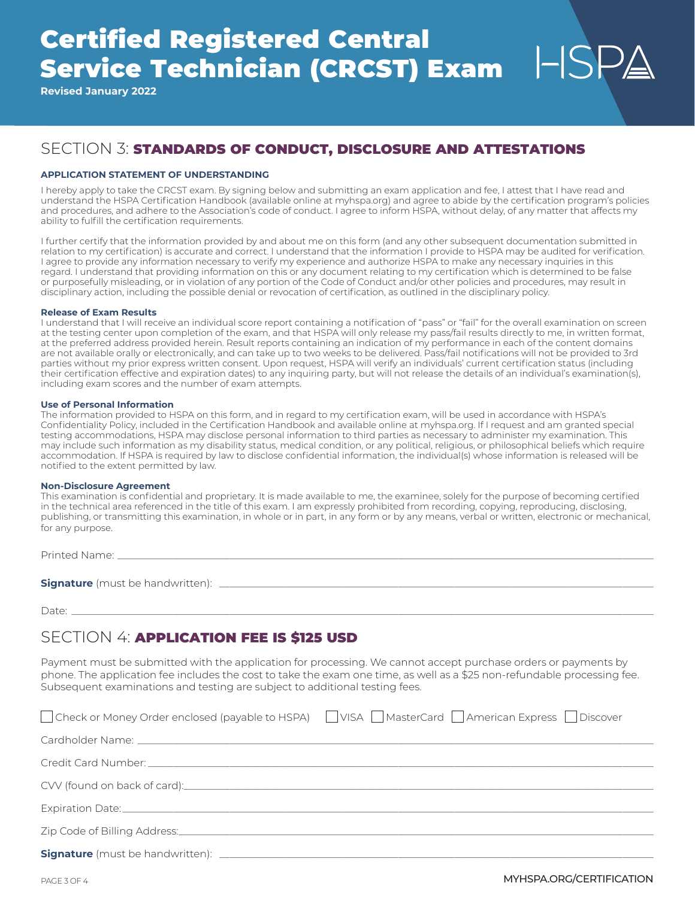# Certified Registered Central Service Technician (CRCST) Exam

**Revised January 2022**

# SECTION 3: STANDARDS OF CONDUCT, DISCLOSURE AND ATTESTATIONS

### **APPLICATION STATEMENT OF UNDERSTANDING**

I hereby apply to take the CRCST exam. By signing below and submitting an exam application and fee, I attest that I have read and understand the HSPA Certification Handbook (available online at myhspa.org) and agree to abide by the certification program's policies and procedures, and adhere to the Association's code of conduct. I agree to inform HSPA, without delay, of any matter that affects my ability to fulfill the certification requirements.

I further certify that the information provided by and about me on this form (and any other subsequent documentation submitted in relation to my certification) is accurate and correct. I understand that the information I provide to HSPA may be audited for verification. I agree to provide any information necessary to verify my experience and authorize HSPA to make any necessary inquiries in this regard. I understand that providing information on this or any document relating to my certification which is determined to be false or purposefully misleading, or in violation of any portion of the Code of Conduct and/or other policies and procedures, may result in disciplinary action, including the possible denial or revocation of certification, as outlined in the disciplinary policy.

#### **Release of Exam Results**

I understand that I will receive an individual score report containing a notification of "pass" or "fail" for the overall examination on screen at the testing center upon completion of the exam, and that HSPA will only release my pass/fail results directly to me, in written format, at the preferred address provided herein. Result reports containing an indication of my performance in each of the content domains are not available orally or electronically, and can take up to two weeks to be delivered. Pass/fail notifications will not be provided to 3rd parties without my prior express written consent. Upon request, HSPA will verify an individuals' current certification status (including their certification effective and expiration dates) to any inquiring party, but will not release the details of an individual's examination(s), including exam scores and the number of exam attempts.

### **Use of Personal Information**

The information provided to HSPA on this form, and in regard to my certification exam, will be used in accordance with HSPA's Confidentiality Policy, included in the Certification Handbook and available online at myhspa.org. If I request and am granted special testing accommodations, HSPA may disclose personal information to third parties as necessary to administer my examination. This may include such information as my disability status, medical condition, or any political, religious, or philosophical beliefs which require accommodation. If HSPA is required by law to disclose confidential information, the individual(s) whose information is released will be notified to the extent permitted by law.

#### **Non-Disclosure Agreement**

This examination is confidential and proprietary. It is made available to me, the examinee, solely for the purpose of becoming certified in the technical area referenced in the title of this exam. I am expressly prohibited from recording, copying, reproducing, disclosing, publishing, or transmitting this examination, in whole or in part, in any form or by any means, verbal or written, electronic or mechanical, for any purpose.

Printed Name: \_\_\_\_\_\_\_\_\_\_\_\_\_\_\_\_\_\_\_\_\_\_\_\_\_\_\_\_\_\_\_\_\_\_\_\_\_\_\_\_\_\_\_\_\_\_\_\_\_\_\_\_\_\_\_\_\_\_\_\_\_\_\_\_\_\_\_\_\_\_\_\_\_\_\_\_\_\_\_\_\_\_\_\_\_\_\_\_\_\_\_\_\_\_\_\_\_\_\_\_\_\_\_\_\_

**Signature** (must be handwritten):  $\Box$ 

Date: \_\_\_\_\_\_\_\_\_\_\_\_\_\_\_\_\_\_\_\_\_\_\_\_\_\_\_\_\_\_\_\_\_\_\_\_\_\_\_\_\_\_\_\_\_\_\_\_\_\_\_\_\_\_\_\_\_\_\_\_\_\_\_\_\_\_\_\_\_\_\_\_\_\_\_\_\_\_\_\_\_\_\_\_\_\_\_\_\_\_\_\_\_\_\_\_\_\_\_\_\_\_\_\_\_\_\_\_\_\_\_\_\_\_

## SECTION 4: Application fee is \$125 usd

Payment must be submitted with the application for processing. We cannot accept purchase orders or payments by phone. The application fee includes the cost to take the exam one time, as well as a \$25 non-refundable processing fee. Subsequent examinations and testing are subject to additional testing fees.

|                                                                                                                                                                                                                                      | □ Check or Money Order enclosed (payable to HSPA) □ VISA □ MasterCard □ American Express □ Discover |
|--------------------------------------------------------------------------------------------------------------------------------------------------------------------------------------------------------------------------------------|-----------------------------------------------------------------------------------------------------|
|                                                                                                                                                                                                                                      |                                                                                                     |
|                                                                                                                                                                                                                                      |                                                                                                     |
|                                                                                                                                                                                                                                      |                                                                                                     |
|                                                                                                                                                                                                                                      |                                                                                                     |
| Zip Code of Billing Address: <u>Container and Container and Container and Container and Container and Container and Container and Container and Container and Container and Container and Container and Container and Container </u> |                                                                                                     |
|                                                                                                                                                                                                                                      |                                                                                                     |

 $\mathsf{LSSPA}$